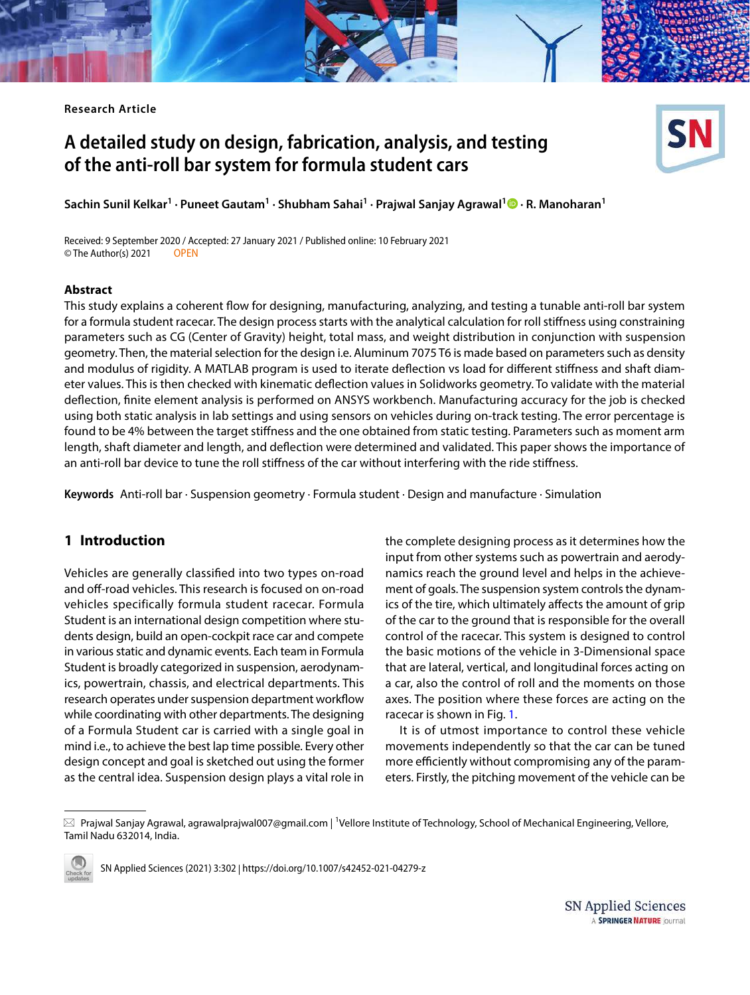**Research Article**

# **A detailed study on design, fabrication, analysis, and testing of the anti‑roll bar system for formula student cars**



**Sachin Sunil Kelkar<sup>1</sup> · Puneet Gautam<sup>1</sup> · Shubham Sahai<sup>1</sup> · Prajwal Sanjay Agrawal<sup>1</sup> · R. Manoharan<sup>1</sup>**

Received: 9 September 2020 / Accepted: 27 January 2021 / Published online: 10 February 2021 © The Author(s) 2021 OPEN

#### **Abstract**

This study explains a coherent flow for designing, manufacturing, analyzing, and testing a tunable anti-roll bar system for a formula student racecar. The design process starts with the analytical calculation for roll stiffness using constraining parameters such as CG (Center of Gravity) height, total mass, and weight distribution in conjunction with suspension geometry. Then, the material selection for the design i.e. Aluminum 7075 T6 is made based on parameters such as density and modulus of rigidity. A MATLAB program is used to iterate deflection vs load for different stiffness and shaft diameter values. This is then checked with kinematic deflection values in Solidworks geometry. To validate with the material deflection, finite element analysis is performed on ANSYS workbench. Manufacturing accuracy for the job is checked using both static analysis in lab settings and using sensors on vehicles during on-track testing. The error percentage is found to be 4% between the target stiffness and the one obtained from static testing. Parameters such as moment arm length, shaft diameter and length, and deflection were determined and validated. This paper shows the importance of an anti-roll bar device to tune the roll stiffness of the car without interfering with the ride stiffness.

**Keywords** Anti-roll bar · Suspension geometry · Formula student · Design and manufacture · Simulation

# **1 Introduction**

Vehicles are generally classified into two types on-road and off-road vehicles. This research is focused on on-road vehicles specifically formula student racecar. Formula Student is an international design competition where students design, build an open-cockpit race car and compete in various static and dynamic events. Each team in Formula Student is broadly categorized in suspension, aerodynamics, powertrain, chassis, and electrical departments. This research operates under suspension department workflow while coordinating with other departments. The designing of a Formula Student car is carried with a single goal in mind i.e., to achieve the best lap time possible. Every other design concept and goal is sketched out using the former as the central idea. Suspension design plays a vital role in

the complete designing process as it determines how the input from other systems such as powertrain and aerodynamics reach the ground level and helps in the achievement of goals. The suspension system controls the dynamics of the tire, which ultimately affects the amount of grip of the car to the ground that is responsible for the overall control of the racecar. This system is designed to control the basic motions of the vehicle in 3-Dimensional space that are lateral, vertical, and longitudinal forces acting on a car, also the control of roll and the moments on those axes. The position where these forces are acting on the racecar is shown in Fig. [1.](#page-1-0)

It is of utmost importance to control these vehicle movements independently so that the car can be tuned more efficiently without compromising any of the parameters. Firstly, the pitching movement of the vehicle can be

 $\boxtimes$  Prajwal Sanjay Agrawal, agrawalprajwal007@gmail.com | <sup>1</sup>Vellore Institute of Technology, School of Mechanical Engineering, Vellore, Tamil Nadu 632014, India.



SN Applied Sciences (2021) 3:302 | https://doi.org/10.1007/s42452-021-04279-z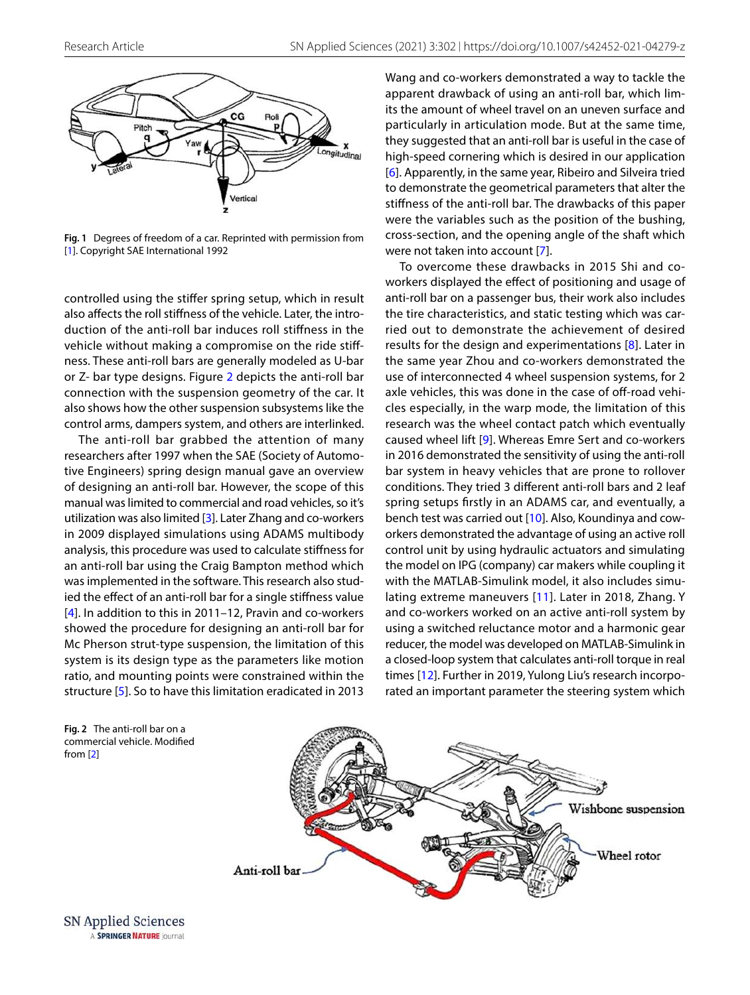

<span id="page-1-0"></span>**Fig. 1** Degrees of freedom of a car. Reprinted with permission from [\[1\]](#page-12-10). Copyright SAE International 1992

controlled using the stiffer spring setup, which in result also affects the roll stiffness of the vehicle. Later, the introduction of the anti-roll bar induces roll stiffness in the vehicle without making a compromise on the ride stiffness. These anti-roll bars are generally modeled as U-bar or Z- bar type designs. Figure [2](#page-1-1) depicts the anti-roll bar connection with the suspension geometry of the car. It also shows how the other suspension subsystems like the control arms, dampers system, and others are interlinked.

The anti-roll bar grabbed the attention of many researchers after 1997 when the SAE (Society of Automotive Engineers) spring design manual gave an overview of designing an anti-roll bar. However, the scope of this manual was limited to commercial and road vehicles, so it's utilization was also limited [\[3](#page-12-0)]. Later Zhang and co-workers in 2009 displayed simulations using ADAMS multibody analysis, this procedure was used to calculate stiffness for an anti-roll bar using the Craig Bampton method which was implemented in the software. This research also studied the effect of an anti-roll bar for a single stiffness value [[4](#page-12-1)]. In addition to this in 2011–12, Pravin and co-workers showed the procedure for designing an anti-roll bar for Mc Pherson strut-type suspension, the limitation of this system is its design type as the parameters like motion ratio, and mounting points were constrained within the structure [[5](#page-12-2)]. So to have this limitation eradicated in 2013

Wang and co-workers demonstrated a way to tackle the apparent drawback of using an anti-roll bar, which limits the amount of wheel travel on an uneven surface and particularly in articulation mode. But at the same time, they suggested that an anti-roll bar is useful in the case of high-speed cornering which is desired in our application [[6](#page-12-3)]. Apparently, in the same year, Ribeiro and Silveira tried to demonstrate the geometrical parameters that alter the stiffness of the anti-roll bar. The drawbacks of this paper were the variables such as the position of the bushing, cross-section, and the opening angle of the shaft which were not taken into account [[7\]](#page-12-4).

To overcome these drawbacks in 2015 Shi and coworkers displayed the effect of positioning and usage of anti-roll bar on a passenger bus, their work also includes the tire characteristics, and static testing which was carried out to demonstrate the achievement of desired results for the design and experimentations [\[8](#page-12-5)]. Later in the same year Zhou and co-workers demonstrated the use of interconnected 4 wheel suspension systems, for 2 axle vehicles, this was done in the case of off-road vehicles especially, in the warp mode, the limitation of this research was the wheel contact patch which eventually caused wheel lift [\[9\]](#page-12-6). Whereas Emre Sert and co-workers in 2016 demonstrated the sensitivity of using the anti-roll bar system in heavy vehicles that are prone to rollover conditions. They tried 3 different anti-roll bars and 2 leaf spring setups firstly in an ADAMS car, and eventually, a bench test was carried out [\[10](#page-12-7)]. Also, Koundinya and coworkers demonstrated the advantage of using an active roll control unit by using hydraulic actuators and simulating the model on IPG (company) car makers while coupling it with the MATLAB-Simulink model, it also includes simulating extreme maneuvers [[11\]](#page-12-8). Later in 2018, Zhang. Y and co-workers worked on an active anti-roll system by using a switched reluctance motor and a harmonic gear reducer, the model was developed on MATLAB-Simulink in a closed-loop system that calculates anti-roll torque in real times [\[12\]](#page-12-9). Further in 2019, Yulong Liu's research incorporated an important parameter the steering system which

<span id="page-1-1"></span>**Fig. 2** The anti-roll bar on a commercial vehicle. Modified from [\[2\]](#page-12-11)



SN Applied Sciences A SPRINGER NATURE journal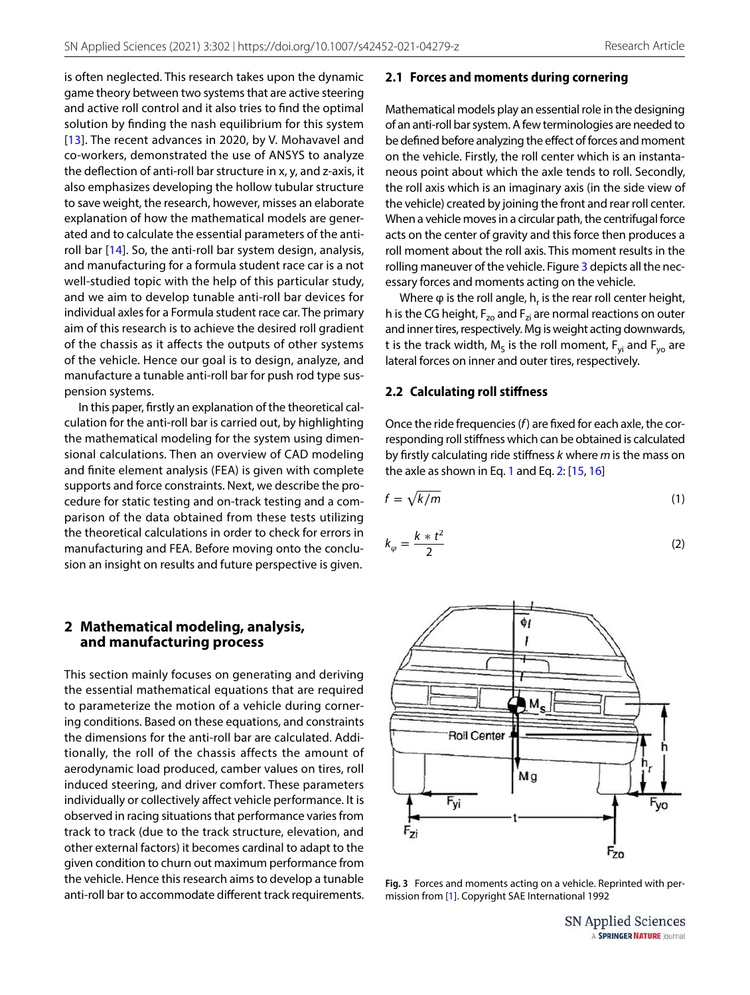is often neglected. This research takes upon the dynamic game theory between two systems that are active steering and active roll control and it also tries to find the optimal solution by finding the nash equilibrium for this system [[13\]](#page-12-12). The recent advances in 2020, by V. Mohavavel and co-workers, demonstrated the use of ANSYS to analyze the deflection of anti-roll bar structure in x, y, and z-axis, it also emphasizes developing the hollow tubular structure to save weight, the research, however, misses an elaborate explanation of how the mathematical models are generated and to calculate the essential parameters of the antiroll bar [[14](#page-12-13)]. So, the anti-roll bar system design, analysis, and manufacturing for a formula student race car is a not well-studied topic with the help of this particular study, and we aim to develop tunable anti-roll bar devices for individual axles for a Formula student race car. The primary aim of this research is to achieve the desired roll gradient of the chassis as it affects the outputs of other systems of the vehicle. Hence our goal is to design, analyze, and manufacture a tunable anti-roll bar for push rod type suspension systems.

In this paper, firstly an explanation of the theoretical calculation for the anti-roll bar is carried out, by highlighting the mathematical modeling for the system using dimensional calculations. Then an overview of CAD modeling and finite element analysis (FEA) is given with complete supports and force constraints. Next, we describe the procedure for static testing and on-track testing and a comparison of the data obtained from these tests utilizing the theoretical calculations in order to check for errors in manufacturing and FEA. Before moving onto the conclusion an insight on results and future perspective is given.

#### **2 Mathematical modeling, analysis, and manufacturing process**

This section mainly focuses on generating and deriving the essential mathematical equations that are required to parameterize the motion of a vehicle during cornering conditions. Based on these equations, and constraints the dimensions for the anti-roll bar are calculated. Additionally, the roll of the chassis affects the amount of aerodynamic load produced, camber values on tires, roll induced steering, and driver comfort. These parameters individually or collectively affect vehicle performance. It is observed in racing situations that performance varies from track to track (due to the track structure, elevation, and other external factors) it becomes cardinal to adapt to the given condition to churn out maximum performance from the vehicle. Hence this research aims to develop a tunable anti-roll bar to accommodate different track requirements.

### **2.1 Forces and moments during cornering**

Mathematical models play an essential role in the designing of an anti-roll bar system. A few terminologies are needed to be defined before analyzing the effect of forces and moment on the vehicle. Firstly, the roll center which is an instantaneous point about which the axle tends to roll. Secondly, the roll axis which is an imaginary axis (in the side view of the vehicle) created by joining the front and rear roll center. When a vehicle moves in a circular path, the centrifugal force acts on the center of gravity and this force then produces a roll moment about the roll axis. This moment results in the rolling maneuver of the vehicle. Figure [3](#page-2-0) depicts all the necessary forces and moments acting on the vehicle.

Where  $\varphi$  is the roll angle,  $h_r$  is the rear roll center height, h is the CG height,  $F_{z0}$  and  $F_{zi}$  are normal reactions on outer and inner tires, respectively. Mg is weight acting downwards, t is the track width,  $\mathsf{M}_\mathsf{S}$  is the roll moment,  $\mathsf{F}_\mathsf{yi}$  and  $\mathsf{F}_\mathsf{yo}$  are lateral forces on inner and outer tires, respectively.

#### <span id="page-2-3"></span>**2.2 Calculating roll stiffness**

Once the ride frequencies ( $f$ ) are fixed for each axle, the corresponding roll stiffness which can be obtained is calculated by firstly calculating ride stiffness k where m is the mass on the axle as shown in Eq. [1](#page-2-1) and Eq. [2](#page-2-2): [[15,](#page-12-14) [16\]](#page-12-15)

<span id="page-2-1"></span>
$$
f = \sqrt{k/m} \tag{1}
$$

<span id="page-2-2"></span>
$$
k_{\varphi} = \frac{k * t^2}{2} \tag{2}
$$



<span id="page-2-0"></span>**Fig. 3** Forces and moments acting on a vehicle. Reprinted with permission from [\[1\]](#page-12-10). Copyright SAE International 1992

SN Applied Sciences A SPRINGER NATURE journal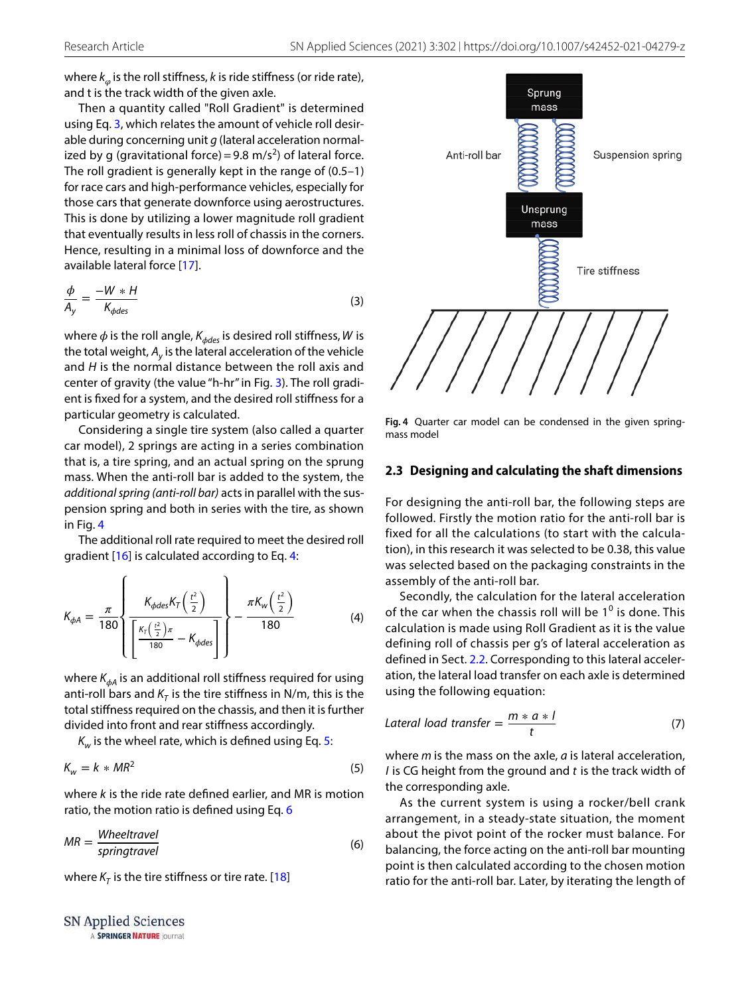where  $k_{\varphi}$  is the roll stiffness,  $k$  is ride stiffness (or ride rate), and t is the track width of the given axle.

Then a quantity called "Roll Gradient" is determined using Eq. [3,](#page-3-0) which relates the amount of vehicle roll desirable during concerning unit  $g$  (lateral acceleration normalized by g (gravitational force) = 9.8 m/s<sup>2</sup>) of lateral force. The roll gradient is generally kept in the range of (0.5–1) for race cars and high-performance vehicles, especially for those cars that generate downforce using aerostructures. This is done by utilizing a lower magnitude roll gradient that eventually results in less roll of chassis in the corners. Hence, resulting in a minimal loss of downforce and the available lateral force [[17\]](#page-12-16).

$$
\frac{\phi}{A_y} = \frac{-W * H}{K_{\phi des}}\tag{3}
$$

where  $\phi$  is the roll angle,  $K_{\phi des}$  is desired roll stiffness, W is the total weight,  $A_{y}$  is the lateral acceleration of the vehicle and  $H$  is the normal distance between the roll axis and center of gravity (the value "h-hr" in Fig. [3\)](#page-2-0). The roll gradient is fixed for a system, and the desired roll stiffness for a particular geometry is calculated.

Considering a single tire system (also called a quarter car model), 2 springs are acting in a series combination that is, a tire spring, and an actual spring on the sprung mass. When the anti-roll bar is added to the system, the additional spring (anti-roll bar) acts in parallel with the suspension spring and both in series with the tire, as shown in Fig. [4](#page-3-1)

The additional roll rate required to meet the desired roll gradient [[16](#page-12-15)] is calculated according to Eq. [4](#page-3-2):

$$
K_{\phi A} = \frac{\pi}{180} \left\{ \frac{K_{\phi des} K_T \left(\frac{t^2}{2}\right)}{\left[\frac{K_T \left(\frac{t^2}{2}\right) \pi}{180} - K_{\phi des}\right]}\right\} - \frac{\pi K_w \left(\frac{t^2}{2}\right)}{180} \tag{4}
$$

where K*𝜙*<sup>A</sup> is an additional roll stiffness required for using anti-roll bars and  $K<sub>T</sub>$  is the tire stiffness in N/m, this is the total stiffness required on the chassis, and then it is further divided into front and rear stiffness accordingly.

 $K_{\scriptscriptstyle W}$  is the wheel rate, which is defined using Eq. [5](#page-3-3):

$$
K_w = k * MR^2 \tag{5}
$$

where  $k$  is the ride rate defined earlier, and MR is motion ratio, the motion ratio is defined using Eq. [6](#page-3-4)

$$
MR = \frac{Wheeltravel}{springtravel}
$$
 (6)

where  $K<sub>T</sub>$  is the tire stiffness or tire rate. [\[18\]](#page-12-17)

SN Applied Sciences A SPRINGER NATURE journal



<span id="page-3-1"></span><span id="page-3-0"></span>**Fig. 4** Quarter car model can be condensed in the given springmass model

#### **2.3 Designing and calculating the shaft dimensions**

For designing the anti-roll bar, the following steps are followed. Firstly the motion ratio for the anti-roll bar is fixed for all the calculations (to start with the calculation), in this research it was selected to be 0.38, this value was selected based on the packaging constraints in the assembly of the anti-roll bar.

<span id="page-3-2"></span>Secondly, the calculation for the lateral acceleration of the car when the chassis roll will be  $1<sup>0</sup>$  is done. This calculation is made using Roll Gradient as it is the value defining roll of chassis per g's of lateral acceleration as defined in Sect. [2.2.](#page-2-3) Corresponding to this lateral acceleration, the lateral load transfer on each axle is determined using the following equation:

$$
Lateral load transfer = \frac{m*a*1}{t}
$$
 (7)

<span id="page-3-3"></span>where  $m$  is the mass on the axle,  $a$  is lateral acceleration,  $l$  is CG height from the ground and  $t$  is the track width of the corresponding axle.

<span id="page-3-4"></span>As the current system is using a rocker/bell crank arrangement, in a steady-state situation, the moment about the pivot point of the rocker must balance. For balancing, the force acting on the anti-roll bar mounting point is then calculated according to the chosen motion ratio for the anti-roll bar. Later, by iterating the length of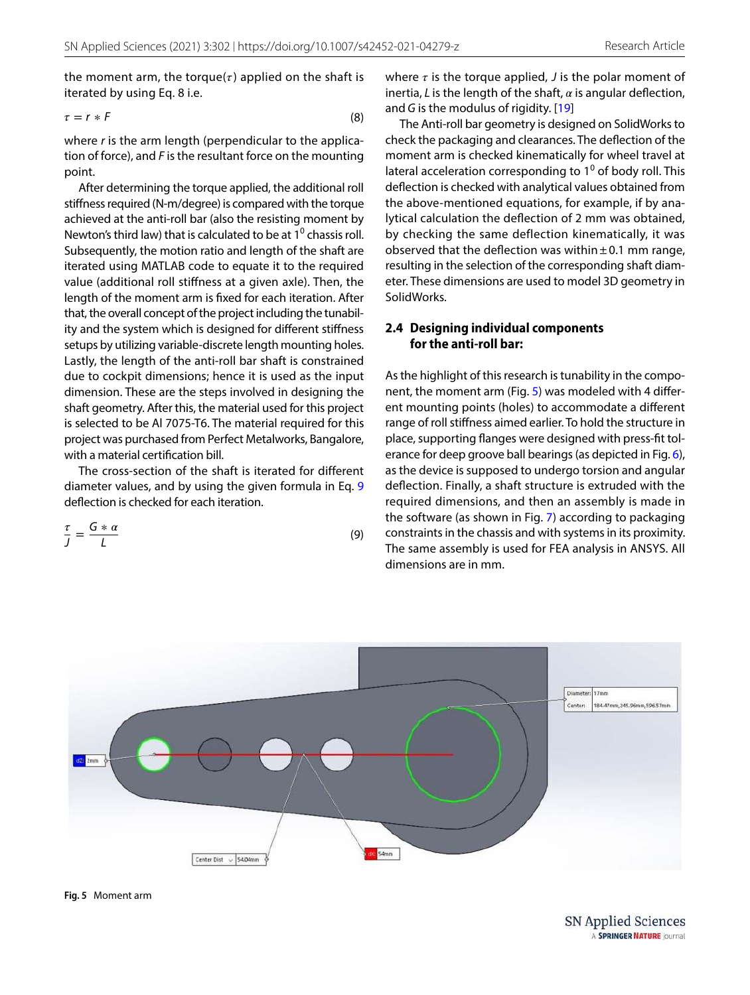the moment arm, the torque $(\tau)$  applied on the shaft is iterated by using Eq. 8 i.e.

$$
\tau = r * F \tag{8}
$$

where r is the arm length (perpendicular to the application of force), and  $F$  is the resultant force on the mounting point.

After determining the torque applied, the additional roll stiffness required (N-m/degree) is compared with the torque achieved at the anti-roll bar (also the resisting moment by Newton's third law) that is calculated to be at  $1^0$  chassis roll. Subsequently, the motion ratio and length of the shaft are iterated using MATLAB code to equate it to the required value (additional roll stiffness at a given axle). Then, the length of the moment arm is fixed for each iteration. After that, the overall concept of the project including the tunability and the system which is designed for different stiffness setups by utilizing variable-discrete length mounting holes. Lastly, the length of the anti-roll bar shaft is constrained due to cockpit dimensions; hence it is used as the input dimension. These are the steps involved in designing the shaft geometry. After this, the material used for this project is selected to be Al 7075-T6. The material required for this project was purchased from Perfect Metalworks, Bangalore, with a material certification bill.

The cross-section of the shaft is iterated for different diameter values, and by using the given formula in Eq. [9](#page-4-0) deflection is checked for each iteration.

$$
\frac{\tau}{J} = \frac{G * \alpha}{L} \tag{9}
$$

where  $\tau$  is the torque applied,  $J$  is the polar moment of inertia, L is the length of the shaft,  $\alpha$  is angular deflection, and G is the modulus of rigidity.  $[19]$  $[19]$  $[19]$ 

The Anti-roll bar geometry is designed on SolidWorks to check the packaging and clearances. The deflection of the moment arm is checked kinematically for wheel travel at lateral acceleration corresponding to  $1^0$  of body roll. This deflection is checked with analytical values obtained from the above-mentioned equations, for example, if by analytical calculation the deflection of 2 mm was obtained, by checking the same deflection kinematically, it was observed that the deflection was within  $\pm$  0.1 mm range, resulting in the selection of the corresponding shaft diameter. These dimensions are used to model 3D geometry in SolidWorks.

### **2.4 Designing individual components for the anti‑roll bar:**

<span id="page-4-0"></span>As the highlight of this research is tunability in the component, the moment arm (Fig. [5\)](#page-4-1) was modeled with 4 different mounting points (holes) to accommodate a different range of roll stiffness aimed earlier. To hold the structure in place, supporting flanges were designed with press-fit tolerance for deep groove ball bearings (as depicted in Fig. [6](#page-5-0)), as the device is supposed to undergo torsion and angular deflection. Finally, a shaft structure is extruded with the required dimensions, and then an assembly is made in the software (as shown in Fig. [7](#page-5-1)) according to packaging constraints in the chassis and with systems in its proximity. The same assembly is used for FEA analysis in ANSYS. All dimensions are in mm.



<span id="page-4-1"></span>**Fig. 5** Moment arm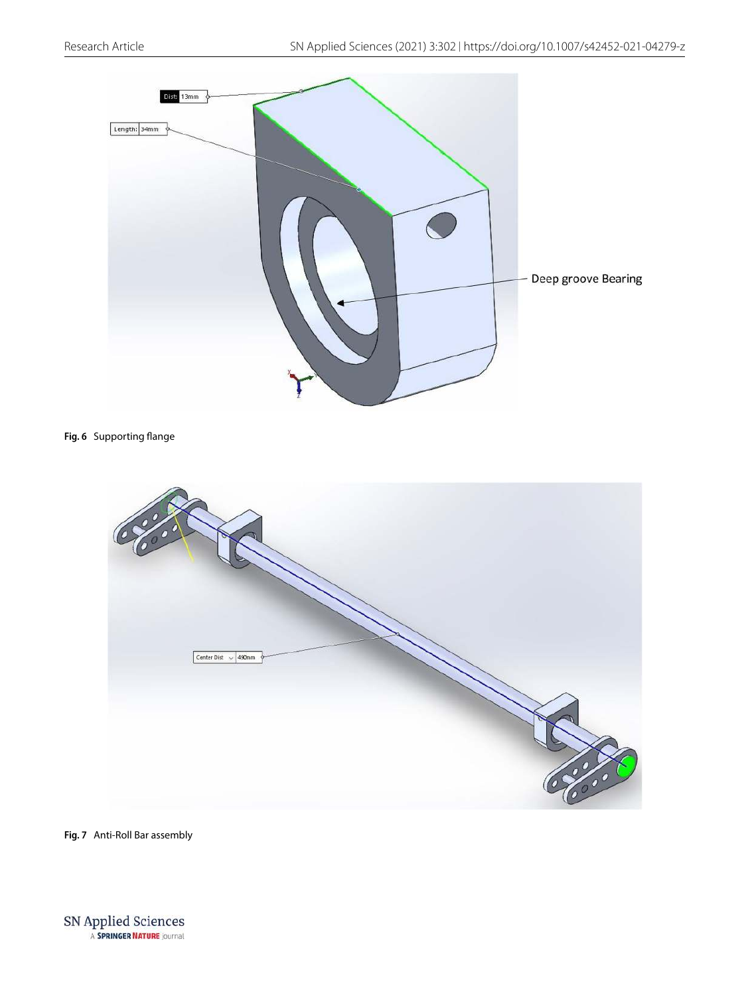

#### <span id="page-5-0"></span>**Fig. 6** Supporting flange



<span id="page-5-1"></span>**Fig. 7** Anti-Roll Bar assembly

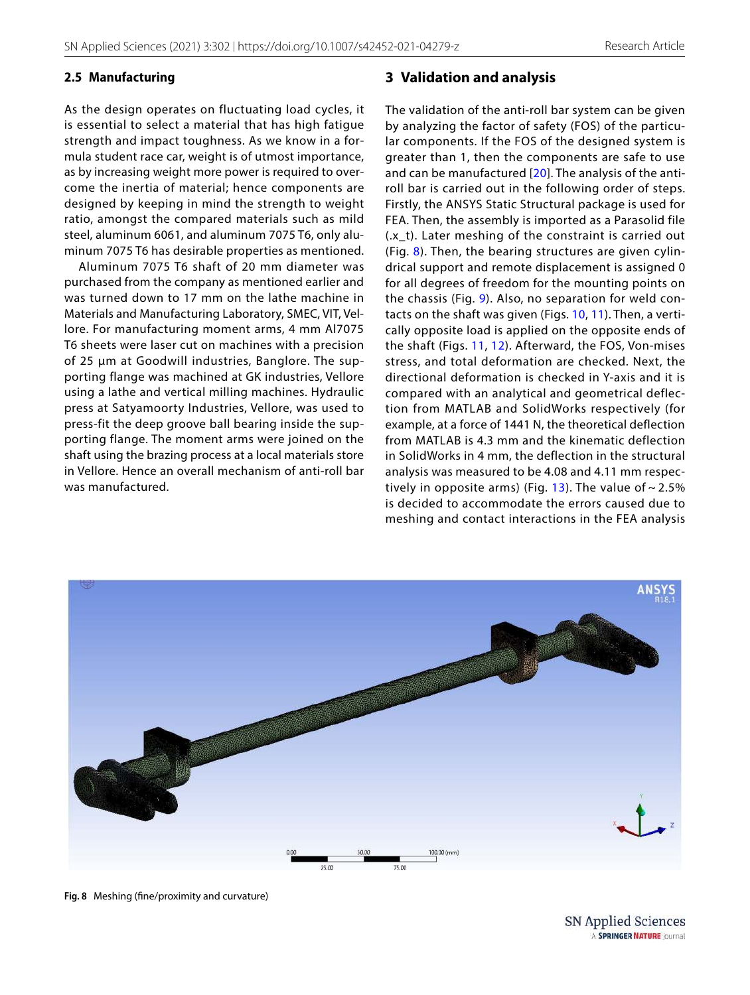## **2.5 Manufacturing**

As the design operates on fluctuating load cycles, it is essential to select a material that has high fatigue strength and impact toughness. As we know in a formula student race car, weight is of utmost importance, as by increasing weight more power is required to overcome the inertia of material; hence components are designed by keeping in mind the strength to weight ratio, amongst the compared materials such as mild steel, aluminum 6061, and aluminum 7075 T6, only aluminum 7075 T6 has desirable properties as mentioned.

Aluminum 7075 T6 shaft of 20 mm diameter was purchased from the company as mentioned earlier and was turned down to 17 mm on the lathe machine in Materials and Manufacturing Laboratory, SMEC, VIT, Vellore. For manufacturing moment arms, 4 mm Al7075 T6 sheets were laser cut on machines with a precision of 25 μm at Goodwill industries, Banglore. The supporting flange was machined at GK industries, Vellore using a lathe and vertical milling machines. Hydraulic press at Satyamoorty Industries, Vellore, was used to press-fit the deep groove ball bearing inside the supporting flange. The moment arms were joined on the shaft using the brazing process at a local materials store in Vellore. Hence an overall mechanism of anti-roll bar was manufactured.

## **3 Validation and analysis**

The validation of the anti-roll bar system can be given by analyzing the factor of safety (FOS) of the particular components. If the FOS of the designed system is greater than 1, then the components are safe to use and can be manufactured [[20](#page-12-19)]. The analysis of the antiroll bar is carried out in the following order of steps. Firstly, the ANSYS Static Structural package is used for FEA. Then, the assembly is imported as a Parasolid file (.x\_t). Later meshing of the constraint is carried out (Fig. [8\)](#page-6-0). Then, the bearing structures are given cylindrical support and remote displacement is assigned 0 for all degrees of freedom for the mounting points on the chassis (Fig. [9](#page-7-0)). Also, no separation for weld contacts on the shaft was given (Figs. [10](#page-7-1), [11](#page-8-0)). Then, a vertically opposite load is applied on the opposite ends of the shaft (Figs. [11](#page-8-0), [12](#page-8-1)). Afterward, the FOS, Von-mises stress, and total deformation are checked. Next, the directional deformation is checked in Y-axis and it is compared with an analytical and geometrical deflection from MATLAB and SolidWorks respectively (for example, at a force of 1441 N, the theoretical deflection from MATLAB is 4.3 mm and the kinematic deflection in SolidWorks in 4 mm, the deflection in the structural analysis was measured to be 4.08 and 4.11 mm respec-tively in opposite arms) (Fig. [13](#page-9-0)). The value of  $\sim$  2.5% is decided to accommodate the errors caused due to meshing and contact interactions in the FEA analysis

<span id="page-6-0"></span>

**Fig. 8** Meshing (fine/proximity and curvature)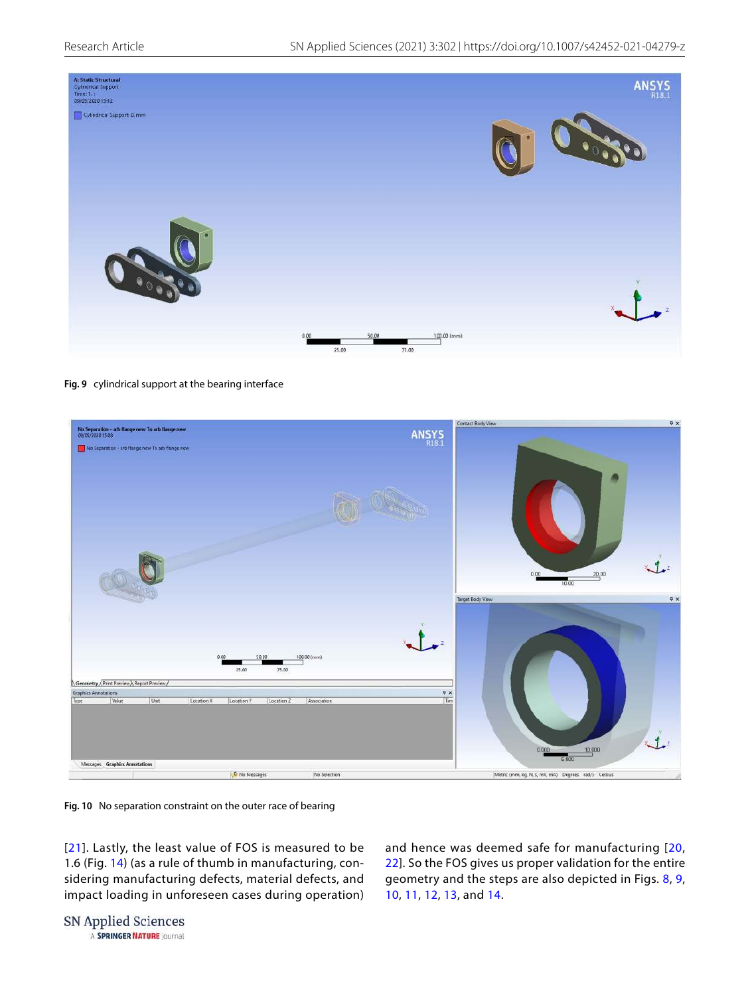

<span id="page-7-0"></span>



<span id="page-7-1"></span>**Fig. 10** No separation constraint on the outer race of bearing

[[21](#page-12-20)]. Lastly, the least value of FOS is measured to be 1.6 (Fig. [14](#page-9-1)) (as a rule of thumb in manufacturing, considering manufacturing defects, material defects, and impact loading in unforeseen cases during operation)

and hence was deemed safe for manufacturing [[20](#page-12-19), [22\]](#page-13-0). So the FOS gives us proper validation for the entire geometry and the steps are also depicted in Figs. [8,](#page-6-0) [9](#page-7-0), [10,](#page-7-1) [11](#page-8-0), [12,](#page-8-1) [13](#page-9-0), and [14.](#page-9-1)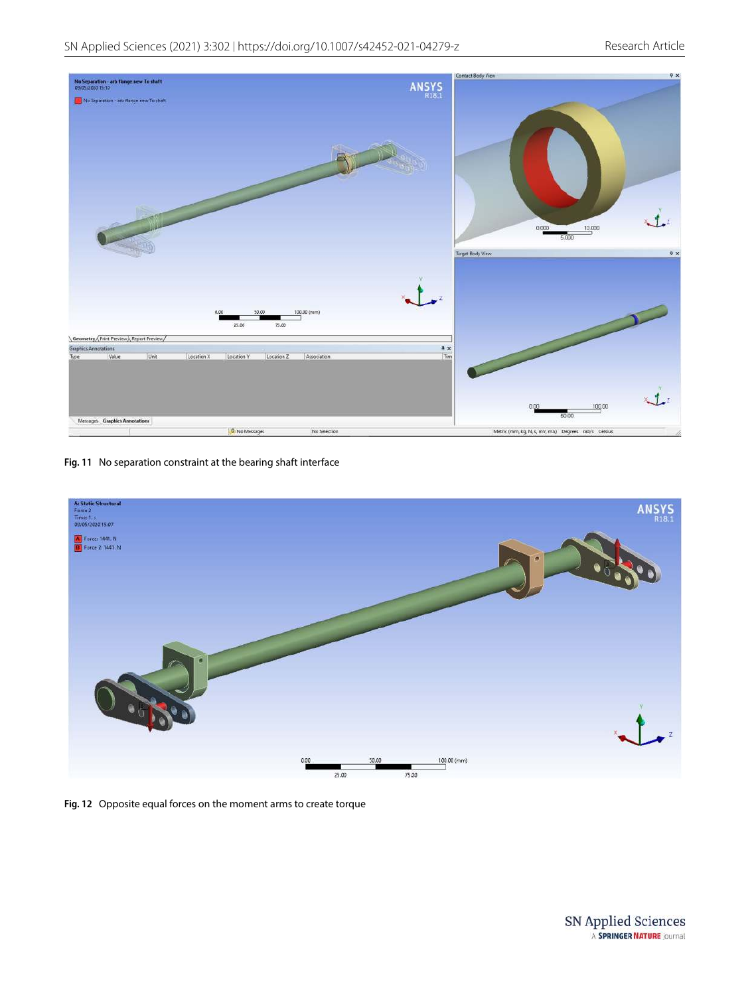

**Fig. 11** No separation constraint at the bearing shaft interface

<span id="page-8-1"></span><span id="page-8-0"></span>

**Fig. 12** Opposite equal forces on the moment arms to create torque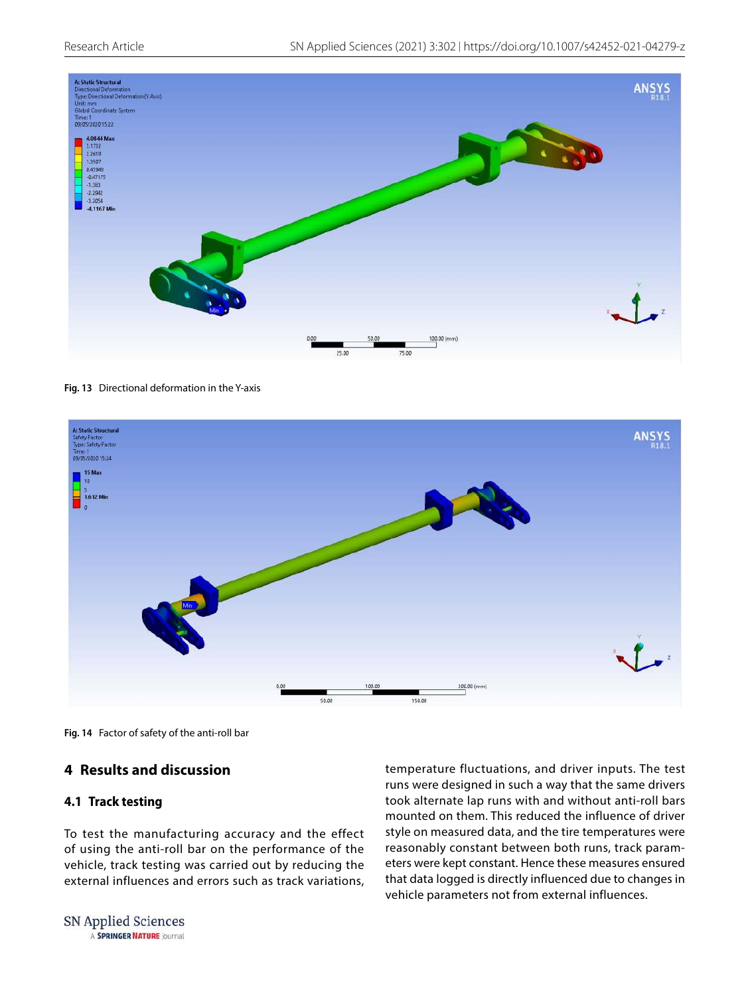

<span id="page-9-0"></span>**Fig. 13** Directional deformation in the Y-axis



**Fig. 14** Factor of safety of the anti-roll bar

# <span id="page-9-1"></span>**4 Results and discussion**

## **4.1 Track testing**

To test the manufacturing accuracy and the effect of using the anti-roll bar on the performance of the vehicle, track testing was carried out by reducing the external influences and errors such as track variations, temperature fluctuations, and driver inputs. The test runs were designed in such a way that the same drivers took alternate lap runs with and without anti-roll bars mounted on them. This reduced the influence of driver style on measured data, and the tire temperatures were reasonably constant between both runs, track parameters were kept constant. Hence these measures ensured that data logged is directly influenced due to changes in vehicle parameters not from external influences.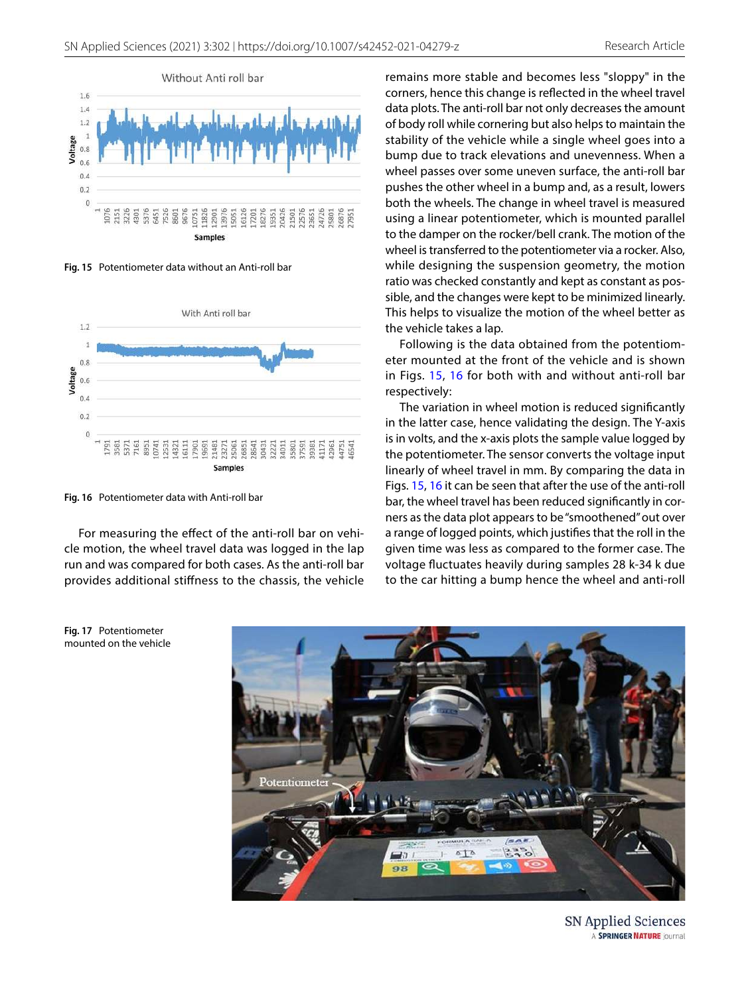

<span id="page-10-0"></span>**Fig. 15** Potentiometer data without an Anti-roll bar



<span id="page-10-1"></span>**Fig. 16** Potentiometer data with Anti-roll bar

For measuring the effect of the anti-roll bar on vehicle motion, the wheel travel data was logged in the lap run and was compared for both cases. As the anti-roll bar provides additional stiffness to the chassis, the vehicle

<span id="page-10-2"></span>**Fig. 17** Potentiometer mounted on the vehicle remains more stable and becomes less "sloppy" in the corners, hence this change is reflected in the wheel travel data plots. The anti-roll bar not only decreases the amount of body roll while cornering but also helps to maintain the stability of the vehicle while a single wheel goes into a bump due to track elevations and unevenness. When a wheel passes over some uneven surface, the anti-roll bar pushes the other wheel in a bump and, as a result, lowers both the wheels. The change in wheel travel is measured using a linear potentiometer, which is mounted parallel to the damper on the rocker/bell crank. The motion of the wheel is transferred to the potentiometer via a rocker. Also, while designing the suspension geometry, the motion ratio was checked constantly and kept as constant as possible, and the changes were kept to be minimized linearly. This helps to visualize the motion of the wheel better as the vehicle takes a lap.

Following is the data obtained from the potentiometer mounted at the front of the vehicle and is shown in Figs. [15,](#page-10-0) [16](#page-10-1) for both with and without anti-roll bar respectively:

The variation in wheel motion is reduced significantly in the latter case, hence validating the design. The Y-axis is in volts, and the x-axis plots the sample value logged by the potentiometer. The sensor converts the voltage input linearly of wheel travel in mm. By comparing the data in Figs. [15](#page-10-0), [16](#page-10-1) it can be seen that after the use of the anti-roll bar, the wheel travel has been reduced significantly in corners as the data plot appears to be "smoothened" out over a range of logged points, which justifies that the roll in the given time was less as compared to the former case. The voltage fluctuates heavily during samples 28 k-34 k due to the car hitting a bump hence the wheel and anti-roll



SN Applied Sciences A SPRINGER NATURE journal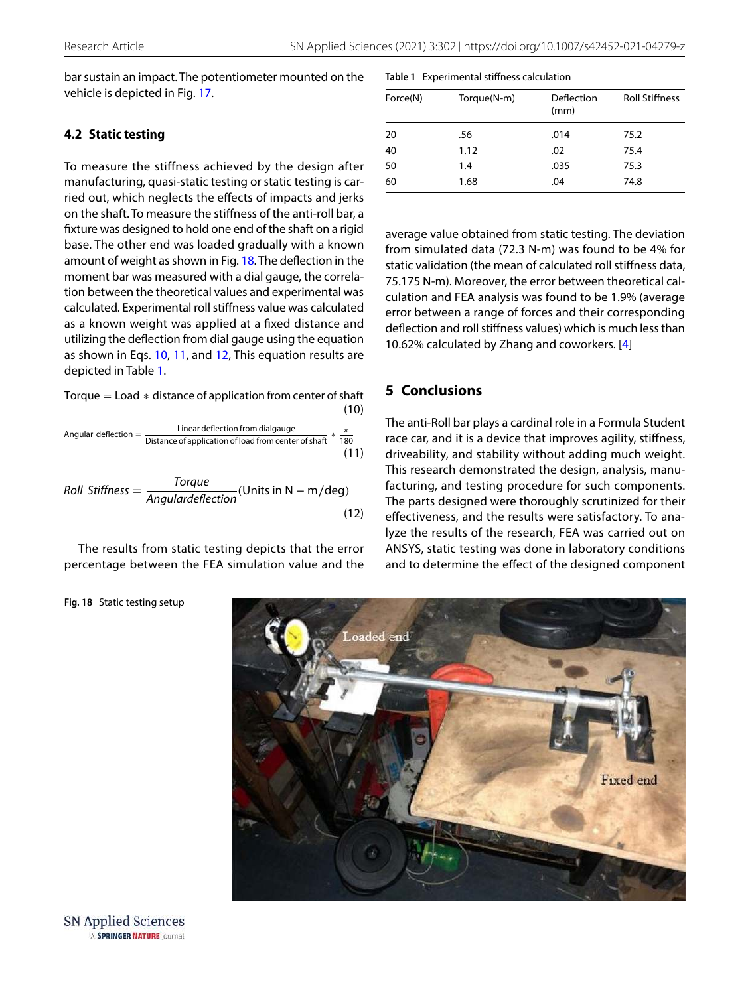bar sustain an impact. The potentiometer mounted on the vehicle is depicted in Fig. [17.](#page-10-2)

## **4.2 Static testing**

To measure the stiffness achieved by the design after manufacturing, quasi-static testing or static testing is carried out, which neglects the effects of impacts and jerks on the shaft. To measure the stiffness of the anti-roll bar, a fixture was designed to hold one end of the shaft on a rigid base. The other end was loaded gradually with a known amount of weight as shown in Fig. [18.](#page-11-0) The deflection in the moment bar was measured with a dial gauge, the correlation between the theoretical values and experimental was calculated. Experimental roll stiffness value was calculated as a known weight was applied at a fixed distance and utilizing the deflection from dial gauge using the equation as shown in Eqs. [10,](#page-11-1) [11,](#page-11-2) and [12,](#page-11-3) This equation results are depicted in Table [1.](#page-11-4)

(10) Torque = Load ∗ distance of application from center of shaft

Angular deflection = 
$$
\frac{\text{Linear deflection from dialogue}}{\text{Distance of application of load from center of shaft}} \times \frac{\pi}{180}
$$

\n(11)

Roll Stiffness = 
$$
\frac{Torque}{Angulatedlection}
$$
 (Units in N – m/deg) (12)

The results from static testing depicts that the error percentage between the FEA simulation value and the

#### <span id="page-11-4"></span>**Table 1** Experimental stiffness calculation

| Force(N) | Torque(N-m) | Deflection<br>(mm) | <b>Roll Stiffness</b> |
|----------|-------------|--------------------|-----------------------|
| 20       | .56         | .014               | 75.2                  |
| 40       | 1.12        | .02                | 75.4                  |
| 50       | 1.4         | .035               | 75.3                  |
| 60       | 1.68        | .04                | 74.8                  |

average value obtained from static testing. The deviation from simulated data (72.3 N-m) was found to be 4% for static validation (the mean of calculated roll stiffness data, 75.175 N-m). Moreover, the error between theoretical calculation and FEA analysis was found to be 1.9% (average error between a range of forces and their corresponding deflection and roll stiffness values) which is much less than 10.62% calculated by Zhang and coworkers. [\[4](#page-12-1)]

## **5 Conclusions**

<span id="page-11-3"></span><span id="page-11-2"></span><span id="page-11-1"></span>The anti-Roll bar plays a cardinal role in a Formula Student race car, and it is a device that improves agility, stiffness, driveability, and stability without adding much weight. This research demonstrated the design, analysis, manufacturing, and testing procedure for such components. The parts designed were thoroughly scrutinized for their effectiveness, and the results were satisfactory. To analyze the results of the research, FEA was carried out on ANSYS, static testing was done in laboratory conditions and to determine the effect of the designed component



<span id="page-11-0"></span>**Fig. 18** Static testing setup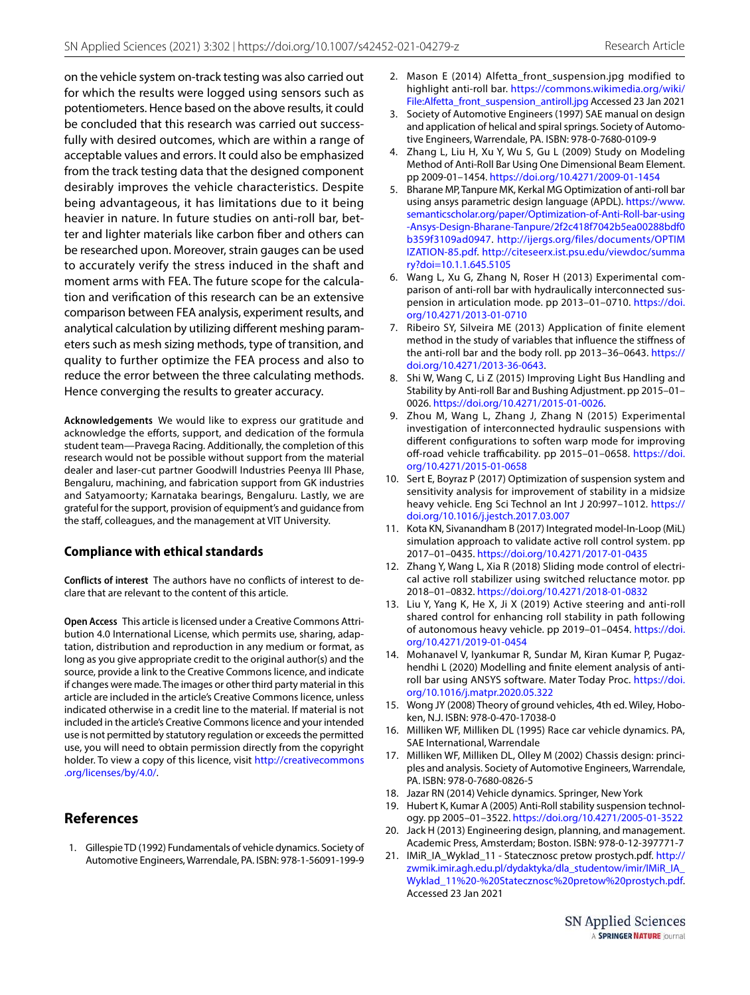on the vehicle system on-track testing was also carried out for which the results were logged using sensors such as potentiometers. Hence based on the above results, it could be concluded that this research was carried out successfully with desired outcomes, which are within a range of acceptable values and errors. It could also be emphasized from the track testing data that the designed component desirably improves the vehicle characteristics. Despite being advantageous, it has limitations due to it being heavier in nature. In future studies on anti-roll bar, better and lighter materials like carbon fiber and others can be researched upon. Moreover, strain gauges can be used to accurately verify the stress induced in the shaft and moment arms with FEA. The future scope for the calculation and verification of this research can be an extensive comparison between FEA analysis, experiment results, and analytical calculation by utilizing different meshing parameters such as mesh sizing methods, type of transition, and quality to further optimize the FEA process and also to reduce the error between the three calculating methods. Hence converging the results to greater accuracy.

**Acknowledgements** We would like to express our gratitude and acknowledge the efforts, support, and dedication of the formula student team—Pravega Racing. Additionally, the completion of this research would not be possible without support from the material dealer and laser-cut partner Goodwill Industries Peenya III Phase, Bengaluru, machining, and fabrication support from GK industries and Satyamoorty; Karnataka bearings, Bengaluru. Lastly, we are grateful for the support, provision of equipment's and guidance from the staff, colleagues, and the management at VIT University.

#### **Compliance with ethical standards**

**Conflicts of interest** The authors have no conflicts of interest to declare that are relevant to the content of this article.

**Open Access** This article is licensed under a Creative Commons Attribution 4.0 International License, which permits use, sharing, adaptation, distribution and reproduction in any medium or format, as long as you give appropriate credit to the original author(s) and the source, provide a link to the Creative Commons licence, and indicate if changes were made. The images or other third party material in this article are included in the article's Creative Commons licence, unless indicated otherwise in a credit line to the material. If material is not included in the article's Creative Commons licence and your intended use is not permitted by statutory regulation or exceeds the permitted use, you will need to obtain permission directly from the copyright holder. To view a copy of this licence, visit http://creativecommons [.org/licen ses/by/4.0/](http://creativecommons.org/licenses/by/4.0/).

# **References**

<span id="page-12-10"></span> 1. Gillespie TD (1992) Fundamentals of vehicle dynamics. Society of Automotive Engineers, Warrendale, PA. ISBN: 978-1-56091-199-9

- <span id="page-12-11"></span> 2. Mason E (2014) Alfetta\_front\_suspension.jpg modified to highlight anti-roll bar. https://commons.wikimedia.org/wiki/ File:Alfetta\_front\_suspension\_antiroll.jpg Accessed 23 Jan 2021
- <span id="page-12-0"></span> 3. Society of Automotive Engineers (1997) SAE manual on design and application of helical and spiral springs. Society of Automotive Engineers, Warrendale, PA. ISBN: 978-0-7680-0109-9
- <span id="page-12-1"></span> 4. Zhang L, Liu H, Xu Y, Wu S, Gu L (2009) Study on Modeling Method of Anti-Roll Bar Using One Dimensional Beam Element. pp 2009-01–1454. [https ://doi.org/10.4271/2009-01-1454](https://doi.org/10.4271/2009-01-1454)
- <span id="page-12-2"></span> 5. Bharane MP, Tanpure MK, Kerkal MG Optimization of anti-roll bar using ansys parametric design language (APDL). https://www. semanticscholar.org/paper/Optimization-of-Anti-Roll-bar-using -Ansys-Design-Bharane-Tanpure/2f2c418f7042b5ea00288bdf0 b359f3109ad0947. http://ijergs.org/files/documents/OPTIM IZATION-85.pdf. http://citeseerx.ist.psu.edu/viewdoc/summa [ry?doi=10.1.1.645.5105](http://citeseerx.ist.psu.edu/viewdoc/summary?doi=10.1.1.645.5105)
- <span id="page-12-3"></span> 6. Wang L, Xu G, Zhang N, Roser H (2013) Experimental comparison of anti-roll bar with hydraulically interconnected suspension in articulation mode. pp 2013-01-0710. https://doi. [org/10.4271/2013-01-0710](https://doi.org/10.4271/2013-01-0710)
- <span id="page-12-4"></span> 7. Ribeiro SY, Silveira ME (2013) Application of finite element method in the study of variables that influence the stiffness of the anti-roll bar and the body roll. pp 2013-36-0643. https:// [doi.org/10.4271/2013-36-0643](https://doi.org/10.4271/2013-36-0643).
- <span id="page-12-5"></span> 8. Shi W, Wang C, Li Z (2015) Improving Light Bus Handling and Stability by Anti-roll Bar and Bushing Adjustment. pp 2015–01– 0026. [https ://doi.org/10.4271/2015-01-0026.](https://doi.org/10.4271/2015-01-0026)
- <span id="page-12-6"></span> 9. Zhou M, Wang L, Zhang J, Zhang N (2015) Experimental investigation of interconnected hydraulic suspensions with different configurations to soften warp mode for improving off-road vehicle trafficability. pp 2015-01-0658. https://doi. [org/10.4271/2015-01-0658](https://doi.org/10.4271/2015-01-0658)
- <span id="page-12-7"></span> 10. Sert E, Boyraz P (2017) Optimization of suspension system and sensitivity analysis for improvement of stability in a midsize heavy vehicle. Eng Sci Technol an Int J 20:997-1012. https:// doi.org/10.1016/j.jestch.2017.03.007
- <span id="page-12-8"></span> 11. Kota KN, Sivanandham B (2017) Integrated model-In-Loop (MiL) simulation approach to validate active roll control system. pp 2017–01–0435. [https ://doi.org/10.4271/2017-01-0435](https://doi.org/10.4271/2017-01-0435)
- <span id="page-12-9"></span> 12. Zhang Y, Wang L, Xia R (2018) Sliding mode control of electrical active roll stabilizer using switched reluctance motor. pp 2018–01–0832. [https ://doi.org/10.4271/2018-01-0832](https://doi.org/10.4271/2018-01-0832)
- <span id="page-12-12"></span> 13. Liu Y, Yang K, He X, Ji X (2019) Active steering and anti-roll shared control for enhancing roll stability in path following of autonomous heavy vehicle. pp 2019-01-0454. https://doi. [org/10.4271/2019-01-0454](https://doi.org/10.4271/2019-01-0454)
- <span id="page-12-13"></span> 14. Mohanavel V, Iyankumar R, Sundar M, Kiran Kumar P, Pugazhendhi L (2020) Modelling and finite element analysis of antiroll bar using ANSYS software. Mater Today Proc. https://doi. org/10.1016/j.matpr.2020.05.322
- <span id="page-12-14"></span> 15. Wong JY (2008) Theory of ground vehicles, 4th ed. Wiley, Hoboken, N.J. ISBN: 978-0-470-17038-0
- <span id="page-12-15"></span> 16. Milliken WF, Milliken DL (1995) Race car vehicle dynamics. PA, SAE International, Warrendale
- <span id="page-12-16"></span> 17. Milliken WF, Milliken DL, Olley M (2002) Chassis design: principles and analysis. Society of Automotive Engineers, Warrendale, PA. ISBN: 978-0-7680-0826-5
- <span id="page-12-17"></span>18. Jazar RN (2014) Vehicle dynamics. Springer, New York
- <span id="page-12-18"></span> 19. Hubert K, Kumar A (2005) Anti-Roll stability suspension technology. pp 2005–01–3522. [https ://doi.org/10.4271/2005-01-3522](https://doi.org/10.4271/2005-01-3522)
- <span id="page-12-19"></span> 20. Jack H (2013) Engineering design, planning, and management. Academic Press, Amsterdam; Boston. ISBN: 978-0-12-397771-7
- <span id="page-12-20"></span> 21. IMiR\_IA\_Wyklad\_11 - Statecznosc pretow prostych.pdf. [http://](http://zwmik.imir.agh.edu.pl/dydaktyka/dla_studentow/imir/IMiR_IA_Wyklad_11%20-%20Statecznosc%20pretow%20prostych.pdf) zwmik.imir.agh.edu.pl/dydaktyka/dla\_studentow/imir/IMiR\_IA\_ Wyklad\_11%20-%20Statecznosc%20pretow%20prostych.pdf. Accessed 23 Jan 2021